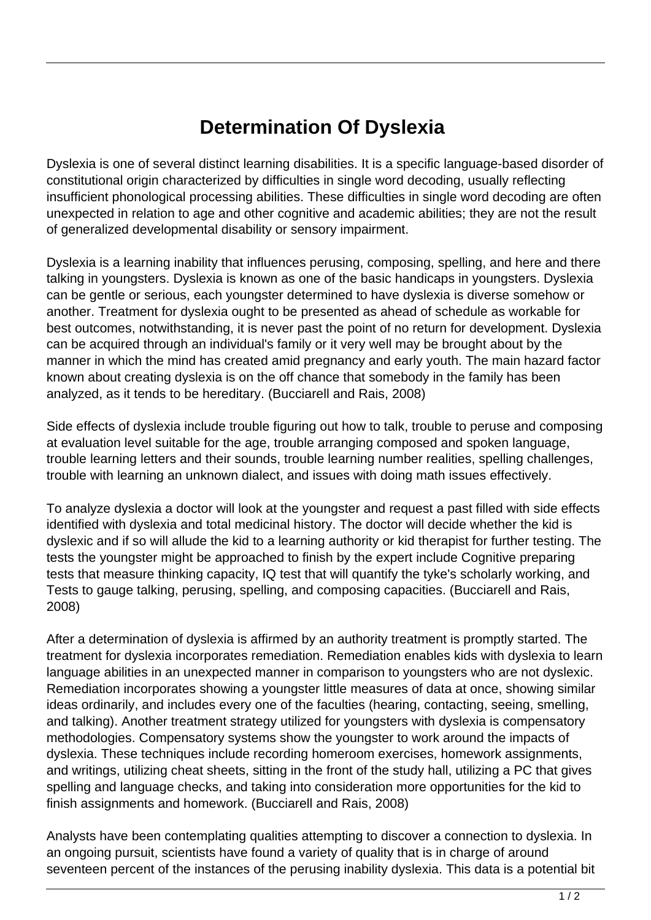## **Determination Of Dyslexia**

Dyslexia is one of several distinct learning disabilities. It is a specific language-based disorder of constitutional origin characterized by difficulties in single word decoding, usually reflecting insufficient phonological processing abilities. These difficulties in single word decoding are often unexpected in relation to age and other cognitive and academic abilities; they are not the result of generalized developmental disability or sensory impairment.

Dyslexia is a learning inability that influences perusing, composing, spelling, and here and there talking in youngsters. Dyslexia is known as one of the basic handicaps in youngsters. Dyslexia can be gentle or serious, each youngster determined to have dyslexia is diverse somehow or another. Treatment for dyslexia ought to be presented as ahead of schedule as workable for best outcomes, notwithstanding, it is never past the point of no return for development. Dyslexia can be acquired through an individual's family or it very well may be brought about by the manner in which the mind has created amid pregnancy and early youth. The main hazard factor known about creating dyslexia is on the off chance that somebody in the family has been analyzed, as it tends to be hereditary. (Bucciarell and Rais, 2008)

Side effects of dyslexia include trouble figuring out how to talk, trouble to peruse and composing at evaluation level suitable for the age, trouble arranging composed and spoken language, trouble learning letters and their sounds, trouble learning number realities, spelling challenges, trouble with learning an unknown dialect, and issues with doing math issues effectively.

To analyze dyslexia a doctor will look at the youngster and request a past filled with side effects identified with dyslexia and total medicinal history. The doctor will decide whether the kid is dyslexic and if so will allude the kid to a learning authority or kid therapist for further testing. The tests the youngster might be approached to finish by the expert include Cognitive preparing tests that measure thinking capacity, IQ test that will quantify the tyke's scholarly working, and Tests to gauge talking, perusing, spelling, and composing capacities. (Bucciarell and Rais, 2008)

After a determination of dyslexia is affirmed by an authority treatment is promptly started. The treatment for dyslexia incorporates remediation. Remediation enables kids with dyslexia to learn language abilities in an unexpected manner in comparison to youngsters who are not dyslexic. Remediation incorporates showing a youngster little measures of data at once, showing similar ideas ordinarily, and includes every one of the faculties (hearing, contacting, seeing, smelling, and talking). Another treatment strategy utilized for youngsters with dyslexia is compensatory methodologies. Compensatory systems show the youngster to work around the impacts of dyslexia. These techniques include recording homeroom exercises, homework assignments, and writings, utilizing cheat sheets, sitting in the front of the study hall, utilizing a PC that gives spelling and language checks, and taking into consideration more opportunities for the kid to finish assignments and homework. (Bucciarell and Rais, 2008)

Analysts have been contemplating qualities attempting to discover a connection to dyslexia. In an ongoing pursuit, scientists have found a variety of quality that is in charge of around seventeen percent of the instances of the perusing inability dyslexia. This data is a potential bit